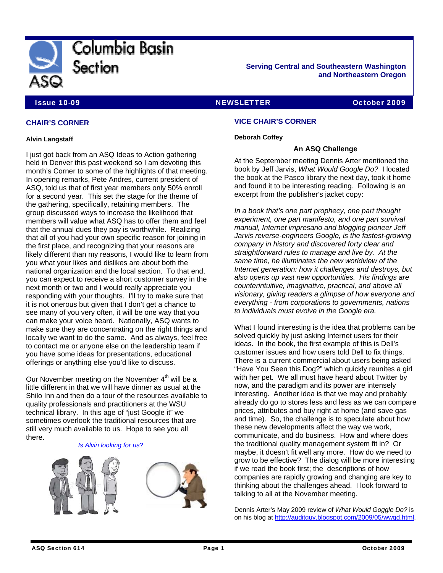

**Serving Central and Southeastern Washington and Northeastern Oregon** 

# Issue 10-09 NEWSLETTER October 2009

# **CHAIR'S CORNER**

#### **Alvin Langstaff**

I just got back from an ASQ Ideas to Action gathering held in Denver this past weekend so I am devoting this month's Corner to some of the highlights of that meeting. In opening remarks, Pete Andres, current president of ASQ, told us that of first year members only 50% enroll for a second year. This set the stage for the theme of the gathering, specifically, retaining members. The group discussed ways to increase the likelihood that members will value what ASQ has to offer them and feel that the annual dues they pay is worthwhile. Realizing that all of you had your own specific reason for joining in the first place, and recognizing that your reasons are likely different than my reasons, I would like to learn from you what your likes and dislikes are about both the national organization and the local section. To that end, you can expect to receive a short customer survey in the next month or two and I would really appreciate you responding with your thoughts. I'll try to make sure that it is not onerous but given that I don't get a chance to see many of you very often, it will be one way that you can make your voice heard. Nationally, ASQ wants to make sure they are concentrating on the right things and locally we want to do the same. And as always, feel free to contact me or anyone else on the leadership team if you have some ideas for presentations, educational offerings or anything else you'd like to discuss.

Our November meeting on the November  $4<sup>th</sup>$  will be a little different in that we will have dinner as usual at the Shilo Inn and then do a tour of the resources available to quality professionals and practitioners at the WSU technical library. In this age of "just Google it" we sometimes overlook the traditional resources that are still very much available to us. Hope to see you all there.

#### *Is Alvin looking for us*?



# **VICE CHAIR'S CORNER**

#### **Deborah Coffey**

#### **An ASQ Challenge**

At the September meeting Dennis Arter mentioned the book by Jeff Jarvis, *What Would Google Do?* I located the book at the Pasco library the next day, took it home and found it to be interesting reading. Following is an excerpt from the publisher's jacket copy:

*In a book that's one part prophecy, one part thought experiment, one part manifesto, and one part survival manual, Internet impresario and blogging pioneer Jeff Jarvis reverse-engineers Google, is the fastest-growing company in history and discovered forty clear and straightforward rules to manage and live by. At the same time, he illuminates the new worldview of the Internet generation: how it challenges and destroys, but also opens up vast new opportunities. His findings are counterintuitive, imaginative, practical, and above all visionary, giving readers a glimpse of how everyone and everything - from corporations to governments, nations to individuals must evolve in the Google era.* 

What I found interesting is the idea that problems can be solved quickly by just asking Internet users for their ideas. In the book, the first example of this is Dell's customer issues and how users told Dell to fix things. There is a current commercial about users being asked "Have You Seen this Dog?" which quickly reunites a girl with her pet. We all must have heard about Twitter by now, and the paradigm and its power are intensely interesting. Another idea is that we may and probably already do go to stores less and less as we can compare prices, attributes and buy right at home (and save gas and time). So, the challenge is to speculate about how these new developments affect the way we work, communicate, and do business. How and where does the traditional quality management system fit in? Or maybe, it doesn't fit well any more. How do we need to grow to be effective? The dialog will be more interesting if we read the book first; the descriptions of how companies are rapidly growing and changing are key to thinking about the challenges ahead. I look forward to talking to all at the November meeting.

Dennis Arter's May 2009 review of *What Would Goggle Do?* is on his blog at [http://auditguy.blogspot.com/2009/05/wwgd.html.](http://auditguy.blogspot.com/2009/05/wwgd.html)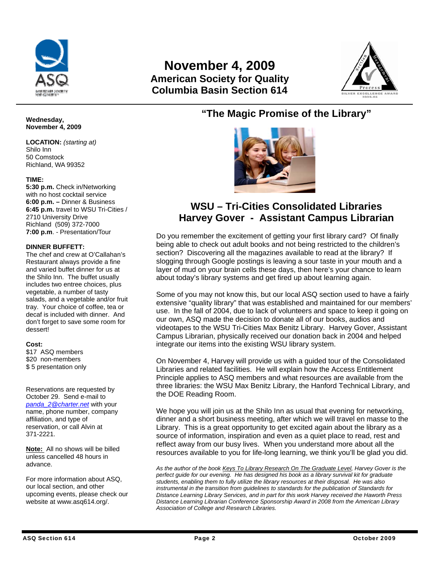

# **November 4, 2009 American Society for Quality Columbia Basin Section 614**



# **"The Magic Promise of the Library"**



# **WSU – Tri-Cities Consolidated Libraries Harvey Gover - Assistant Campus Librarian**

Do you remember the excitement of getting your first library card? Of finally being able to check out adult books and not being restricted to the children's section? Discovering all the magazines available to read at the library? If slogging through Google postings is leaving a sour taste in your mouth and a layer of mud on your brain cells these days, then here's your chance to learn about today's library systems and get fired up about learning again.

Some of you may not know this, but our local ASQ section used to have a fairly extensive "quality library" that was established and maintained for our members' use. In the fall of 2004, due to lack of volunteers and space to keep it going on our own, ASQ made the decision to donate all of our books, audios and videotapes to the WSU Tri-Cities Max Benitz Library. Harvey Gover, Assistant Campus Librarian, physically received our donation back in 2004 and helped integrate our items into the existing WSU library system.

On November 4, Harvey will provide us with a guided tour of the Consolidated Libraries and related facilities. He will explain how the Access Entitlement Principle applies to ASQ members and what resources are available from the three libraries: the WSU Max Benitz Library, the Hanford Technical Library, and the DOE Reading Room.

We hope you will join us at the Shilo Inn as usual that evening for networking, dinner and a short business meeting, after which we will travel en masse to the Library. This is a great opportunity to get excited again about the library as a source of information, inspiration and even as a quiet place to read, rest and reflect away from our busy lives. When you understand more about all the resources available to you for life-long learning, we think you'll be glad you did.

*As the author of the book Keys To Library Research On The Graduate Level, Harvey Gover is the perfect guide for our evening. He has designed his book as a library survival kit for graduate students, enabling them to fully utilize the library resources at their disposal. He was also instrumental in the transition from guidelines to standards for the publication of Standards for Distance Learning Library Services, and in part for this work Harvey received the Haworth Press Distance Learning Librarian Conference Sponsorship Award in 2008 from the American Library Association of College and Research Libraries.* 

#### **Wednesday, November 4, 2009**

**LOCATION:** *(starting at)*  Shilo Inn 50 Comstock Richland, WA 99352

# **TIME:**

**5:30 p.m.** Check in/Networking with no host cocktail service **6:00 p.m. –** Dinner & Business **6:45 p.m.** travel to WSU Tri-Cities / 2710 University Drive Richland (509) 372-7000 **7:00 p.m**. - Presentation/Tour

# **DINNER BUFFETT:**

The chef and crew at O'Callahan's Restaurant always provide a fine and varied buffet dinner for us at the Shilo Inn. The buffet usually includes two entree choices, plus vegetable, a number of tasty salads, and a vegetable and/or fruit tray. Your choice of coffee, tea or decaf is included with dinner. And don't forget to save some room for dessert!

#### **Cost:**

\$17 ASQ members \$20 non-members \$ 5 presentation only

Reservations are requested by October 29. Send e-mail to *[panda\\_2@charter.net](mailto:panda_2@charter.net)* with your name, phone number, company affiliation, and type of reservation, or call Alvin at 371-2221.

**Note:** All no shows will be billed unless cancelled 48 hours in advance.

For more information about ASQ, our local section, and other upcoming events, please check our website at www.asq614.org/.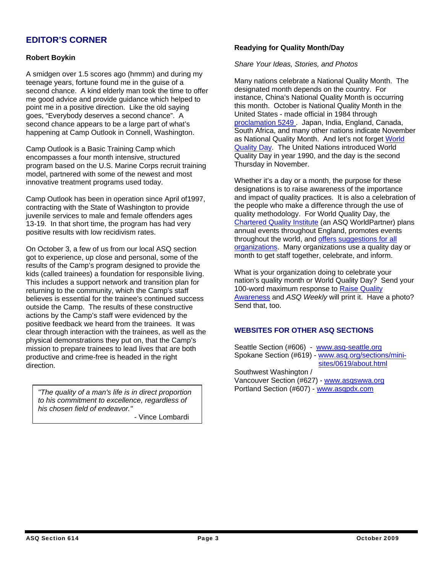# **EDITOR'S CORNER**

# **Robert Boykin**

A smidgen over 1.5 scores ago (hmmm) and during my teenage years, fortune found me in the guise of a second chance. A kind elderly man took the time to offer me good advice and provide guidance which helped to point me in a positive direction. Like the old saying goes, "Everybody deserves a second chance". A second chance appears to be a large part of what's happening at Camp Outlook in Connell, Washington.

Camp Outlook is a Basic Training Camp which encompasses a four month intensive, structured program based on the U.S. Marine Corps recruit training model, partnered with some of the newest and most innovative treatment programs used today.

Camp Outlook has been in operation since April of1997, contracting with the State of Washington to provide juvenile services to male and female offenders ages 13-19. In that short time, the program has had very positive results with low recidivism rates.

On October 3, a few of us from our local ASQ section got to experience, up close and personal, some of the results of the Camp's program designed to provide the kids (called trainees) a foundation for responsible living. This includes a support network and transition plan for returning to the community, which the Camp's staff believes is essential for the trainee's continued success outside the Camp. The results of these constructive actions by the Camp's staff were evidenced by the positive feedback we heard from the trainees. It was clear through interaction with the trainees, as well as the physical demonstrations they put on, that the Camp's mission to prepare trainees to lead lives that are both productive and crime-free is headed in the right direction.

Portland Section (#607) - [www.asqpdx.com](http://www.asqpdx.com/) *"The quality of a man's life is in direct proportion to his commitment to excellence, regardless of his chosen field of endeavor."* 

- Vince Lombardi

### **Readying for Quality Month/Day**

# *Share Your Ideas, Stories, and Photos*

Many nations celebrate a National Quality Month. The designated month depends on the country. For instance, China's National Quality Month is occurring this month. October is National Quality Month in the United States - made official in 1984 through [proclamation 5249](http://click.asq-email.org/?ju=fe32167471660d78771471&ls=fdeb1c71756d02787411797d&m=ff2f17797766&l=fe6c15767465077b7414&s=fdf815787765007574117874&jb=ffcf14&t=) . Japan, India, England, Canada, South Africa, and many other nations indicate November as National Quality Month. And let's not forget [World](http://click.asq-email.org/?ju=fe31167471660d78771472&ls=fdeb1c71756d02787411797d&m=ff2f17797766&l=fe6c15767465077b7414&s=fdf815787765007574117874&jb=ffcf14&t=)  [Quality Day.](http://click.asq-email.org/?ju=fe31167471660d78771472&ls=fdeb1c71756d02787411797d&m=ff2f17797766&l=fe6c15767465077b7414&s=fdf815787765007574117874&jb=ffcf14&t=) The United Nations introduced World Quality Day in year 1990, and the day is the second Thursday in November.

Whether it's a day or a month, the purpose for these designations is to raise awareness of the importance and impact of quality practices. It is also a celebration of the people who make a difference through the use of quality methodology. For World Quality Day, the [Chartered Quality Institute](http://click.asq-email.org/?ju=fe31167471660d78771472&ls=fdeb1c71756d02787411797d&m=ff2f17797766&l=fe6c15767465077b7414&s=fdf815787765007574117874&jb=ffcf14&t=) (an ASQ WorldPartner) plans annual events throughout England, promotes events throughout the world, and [offers suggestions for all](http://click.asq-email.org/?ju=fe2f167471660d78771474&ls=fdeb1c71756d02787411797d&m=ff2f17797766&l=fe6c15767465077b7414&s=fdf815787765007574117874&jb=ffcf14&t=)  [organizations](http://click.asq-email.org/?ju=fe2f167471660d78771474&ls=fdeb1c71756d02787411797d&m=ff2f17797766&l=fe6c15767465077b7414&s=fdf815787765007574117874&jb=ffcf14&t=). Many organizations use a quality day or month to get staff together, celebrate, and inform.

What is your organization doing to celebrate your nation's quality month or World Quality Day? Send your 100-word maximum response to [Raise Quality](mailto:jvanslyke@asq.org?subject=Raise%20Quality%20Awareness)  [Awareness](mailto:jvanslyke@asq.org?subject=Raise%20Quality%20Awareness) and *ASQ Weekly* will print it. Have a photo? Send that, too.

# **WEBSITES FOR OTHER ASQ SECTIONS**

Seattle Section (#606) - [www.asq-seattle.org](http://www.asq-seattle.org/) Spokane Section (#619) - [www.asq.org/sections/mini](http://www.spokaneasq.org/)   [sites/0619/about.html](http://www.spokaneasq.org/) Southwest Washington / Vancouver Section (#627) - [www.asqswwa.org](http://www.asqswwa.org/)